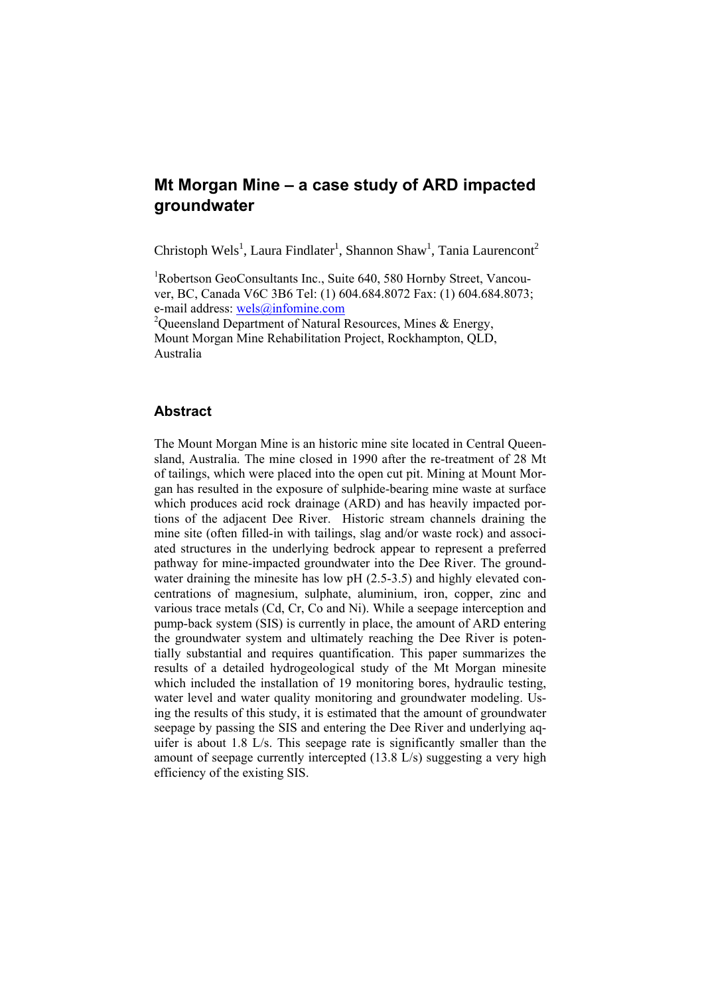# **Mt Morgan Mine – a case study of ARD impacted groundwater**

Christoph Wels<sup>1</sup>, Laura Findlater<sup>1</sup>, Shannon Shaw<sup>1</sup>, Tania Laurencont<sup>2</sup>

<sup>1</sup>Robertson GeoConsultants Inc., Suite 640, 580 Hornby Street, Vancouver, BC, Canada V6C 3B6 Tel: (1) 604.684.8072 Fax: (1) 604.684.8073; e-mail address: wels@infomine.com

<sup>2</sup>Queensland Department of Natural Resources, Mines & Energy, Mount Morgan Mine Rehabilitation Project, Rockhampton, QLD, Australia

# **Abstract**

The Mount Morgan Mine is an historic mine site located in Central Queensland, Australia. The mine closed in 1990 after the re-treatment of 28 Mt of tailings, which were placed into the open cut pit. Mining at Mount Morgan has resulted in the exposure of sulphide-bearing mine waste at surface which produces acid rock drainage (ARD) and has heavily impacted portions of the adjacent Dee River. Historic stream channels draining the mine site (often filled-in with tailings, slag and/or waste rock) and associated structures in the underlying bedrock appear to represent a preferred pathway for mine-impacted groundwater into the Dee River. The groundwater draining the minesite has low pH (2.5-3.5) and highly elevated concentrations of magnesium, sulphate, aluminium, iron, copper, zinc and various trace metals (Cd, Cr, Co and Ni). While a seepage interception and pump-back system (SIS) is currently in place, the amount of ARD entering the groundwater system and ultimately reaching the Dee River is potentially substantial and requires quantification. This paper summarizes the results of a detailed hydrogeological study of the Mt Morgan minesite which included the installation of 19 monitoring bores, hydraulic testing, water level and water quality monitoring and groundwater modeling. Using the results of this study, it is estimated that the amount of groundwater seepage by passing the SIS and entering the Dee River and underlying aquifer is about 1.8 L/s. This seepage rate is significantly smaller than the amount of seepage currently intercepted (13.8 L/s) suggesting a very high efficiency of the existing SIS.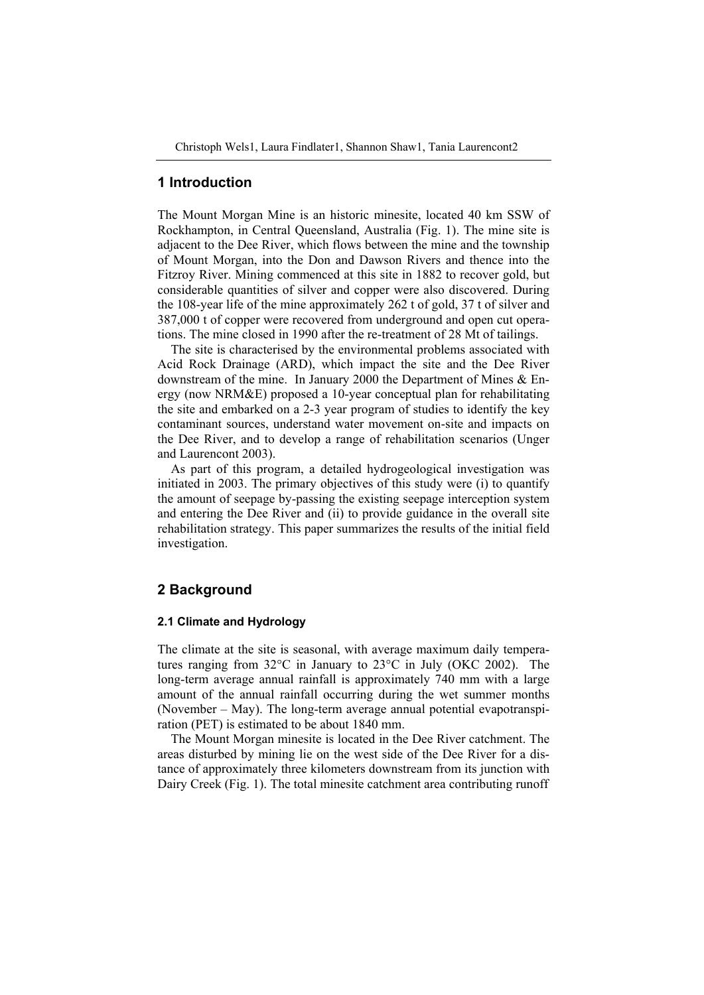## **1 Introduction**

The Mount Morgan Mine is an historic minesite, located 40 km SSW of Rockhampton, in Central Queensland, Australia (Fig. 1). The mine site is adjacent to the Dee River, which flows between the mine and the township of Mount Morgan, into the Don and Dawson Rivers and thence into the Fitzroy River. Mining commenced at this site in 1882 to recover gold, but considerable quantities of silver and copper were also discovered. During the 108-year life of the mine approximately 262 t of gold, 37 t of silver and 387,000 t of copper were recovered from underground and open cut operations. The mine closed in 1990 after the re-treatment of 28 Mt of tailings.

The site is characterised by the environmental problems associated with Acid Rock Drainage (ARD), which impact the site and the Dee River downstream of the mine. In January 2000 the Department of Mines & Energy (now NRM&E) proposed a 10-year conceptual plan for rehabilitating the site and embarked on a 2-3 year program of studies to identify the key contaminant sources, understand water movement on-site and impacts on the Dee River, and to develop a range of rehabilitation scenarios (Unger and Laurencont 2003).

As part of this program, a detailed hydrogeological investigation was initiated in 2003. The primary objectives of this study were (i) to quantify the amount of seepage by-passing the existing seepage interception system and entering the Dee River and (ii) to provide guidance in the overall site rehabilitation strategy. This paper summarizes the results of the initial field investigation.

## **2 Background**

### **2.1 Climate and Hydrology**

The climate at the site is seasonal, with average maximum daily temperatures ranging from 32°C in January to 23°C in July (OKC 2002). The long-term average annual rainfall is approximately 740 mm with a large amount of the annual rainfall occurring during the wet summer months (November – May). The long-term average annual potential evapotranspiration (PET) is estimated to be about 1840 mm.

The Mount Morgan minesite is located in the Dee River catchment. The areas disturbed by mining lie on the west side of the Dee River for a distance of approximately three kilometers downstream from its junction with Dairy Creek (Fig. 1). The total minesite catchment area contributing runoff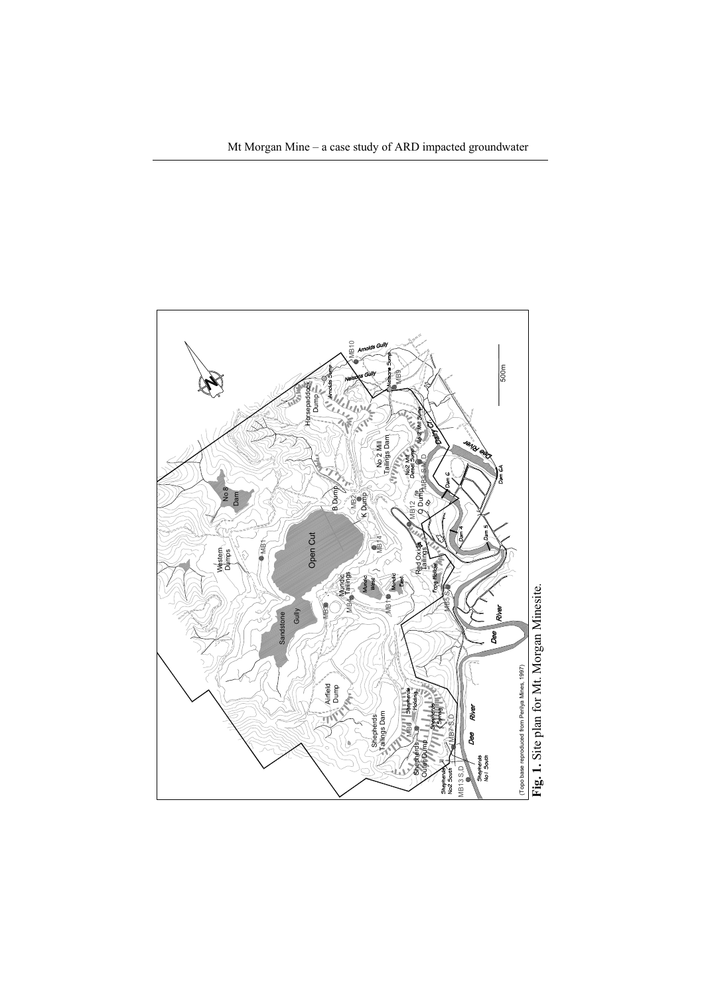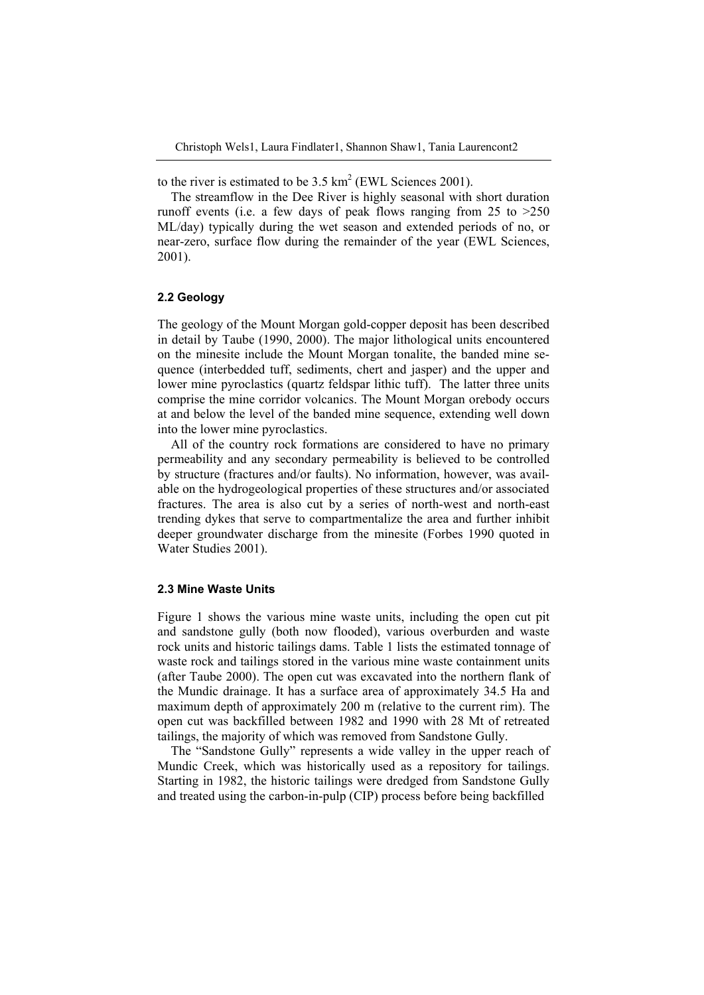to the river is estimated to be  $3.5 \text{ km}^2$  (EWL Sciences 2001).

The streamflow in the Dee River is highly seasonal with short duration runoff events (i.e. a few days of peak flows ranging from  $25$  to  $>250$ ML/day) typically during the wet season and extended periods of no, or near-zero, surface flow during the remainder of the year (EWL Sciences, 2001).

#### **2.2 Geology**

The geology of the Mount Morgan gold-copper deposit has been described in detail by Taube (1990, 2000). The major lithological units encountered on the minesite include the Mount Morgan tonalite, the banded mine sequence (interbedded tuff, sediments, chert and jasper) and the upper and lower mine pyroclastics (quartz feldspar lithic tuff). The latter three units comprise the mine corridor volcanics. The Mount Morgan orebody occurs at and below the level of the banded mine sequence, extending well down into the lower mine pyroclastics.

All of the country rock formations are considered to have no primary permeability and any secondary permeability is believed to be controlled by structure (fractures and/or faults). No information, however, was available on the hydrogeological properties of these structures and/or associated fractures. The area is also cut by a series of north-west and north-east trending dykes that serve to compartmentalize the area and further inhibit deeper groundwater discharge from the minesite (Forbes 1990 quoted in Water Studies 2001).

#### **2.3 Mine Waste Units**

Figure 1 shows the various mine waste units, including the open cut pit and sandstone gully (both now flooded), various overburden and waste rock units and historic tailings dams. Table 1 lists the estimated tonnage of waste rock and tailings stored in the various mine waste containment units (after Taube 2000). The open cut was excavated into the northern flank of the Mundic drainage. It has a surface area of approximately 34.5 Ha and maximum depth of approximately 200 m (relative to the current rim). The open cut was backfilled between 1982 and 1990 with 28 Mt of retreated tailings, the majority of which was removed from Sandstone Gully.

The "Sandstone Gully" represents a wide valley in the upper reach of Mundic Creek, which was historically used as a repository for tailings. Starting in 1982, the historic tailings were dredged from Sandstone Gully and treated using the carbon-in-pulp (CIP) process before being backfilled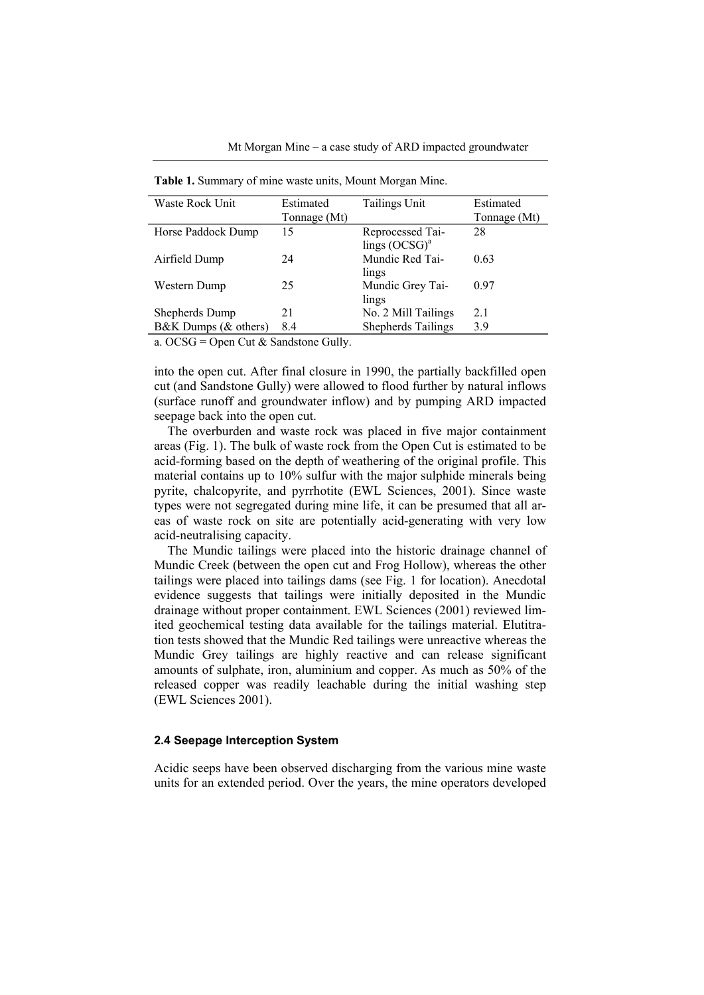| Waste Rock Unit      | Estimated    | Tailings Unit             | Estimated    |
|----------------------|--------------|---------------------------|--------------|
|                      | Tonnage (Mt) |                           | Tonnage (Mt) |
| Horse Paddock Dump   | 15           | Reprocessed Tai-          | 28           |
|                      |              | lings $(OCSG)^a$          |              |
| Airfield Dump        | 24           | Mundic Red Tai-           | 0.63         |
|                      |              | lings                     |              |
| Western Dump         | 25           | Mundic Grey Tai-          | 0.97         |
|                      |              | lings                     |              |
| Shepherds Dump       | 21           | No. 2 Mill Tailings       | 2.1          |
| B&K Dumps (& others) | 8.4          | <b>Shepherds Tailings</b> | 3.9          |
|                      |              |                           |              |

**Table 1.** Summary of mine waste units, Mount Morgan Mine.

a. OCSG = Open Cut & Sandstone Gully.

into the open cut. After final closure in 1990, the partially backfilled open cut (and Sandstone Gully) were allowed to flood further by natural inflows (surface runoff and groundwater inflow) and by pumping ARD impacted seepage back into the open cut.

The overburden and waste rock was placed in five major containment areas (Fig. 1). The bulk of waste rock from the Open Cut is estimated to be acid-forming based on the depth of weathering of the original profile. This material contains up to 10% sulfur with the major sulphide minerals being pyrite, chalcopyrite, and pyrrhotite (EWL Sciences, 2001). Since waste types were not segregated during mine life, it can be presumed that all areas of waste rock on site are potentially acid-generating with very low acid-neutralising capacity.

The Mundic tailings were placed into the historic drainage channel of Mundic Creek (between the open cut and Frog Hollow), whereas the other tailings were placed into tailings dams (see Fig. 1 for location). Anecdotal evidence suggests that tailings were initially deposited in the Mundic drainage without proper containment. EWL Sciences (2001) reviewed limited geochemical testing data available for the tailings material. Elutitration tests showed that the Mundic Red tailings were unreactive whereas the Mundic Grey tailings are highly reactive and can release significant amounts of sulphate, iron, aluminium and copper. As much as 50% of the released copper was readily leachable during the initial washing step (EWL Sciences 2001).

#### **2.4 Seepage Interception System**

Acidic seeps have been observed discharging from the various mine waste units for an extended period. Over the years, the mine operators developed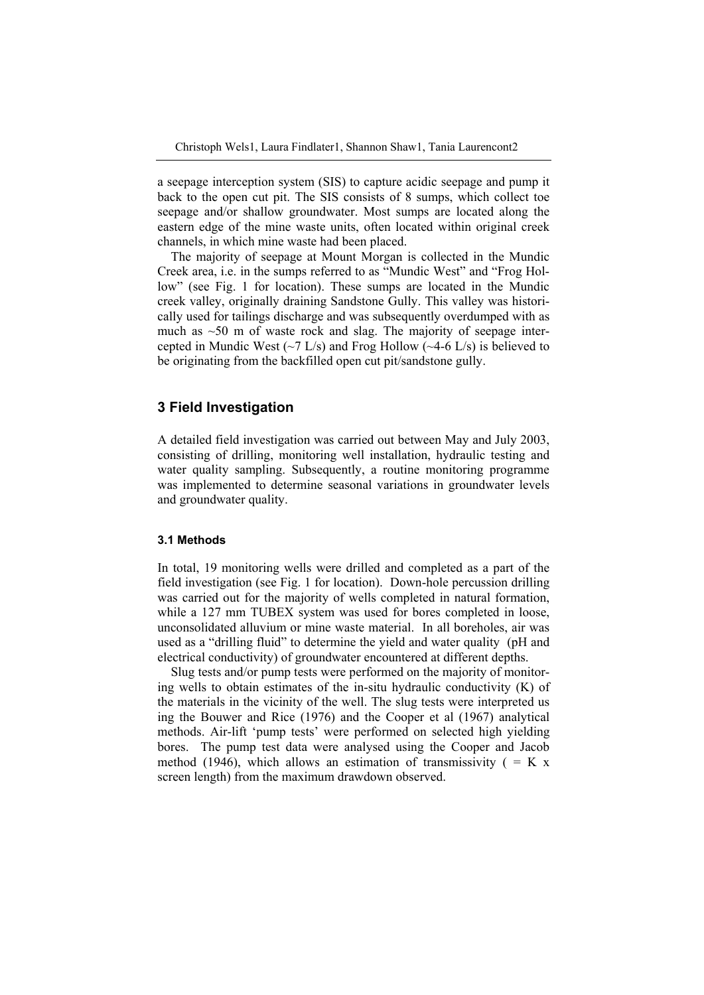a seepage interception system (SIS) to capture acidic seepage and pump it back to the open cut pit. The SIS consists of 8 sumps, which collect toe seepage and/or shallow groundwater. Most sumps are located along the eastern edge of the mine waste units, often located within original creek channels, in which mine waste had been placed.

The majority of seepage at Mount Morgan is collected in the Mundic Creek area, i.e. in the sumps referred to as "Mundic West" and "Frog Hollow" (see Fig. 1 for location). These sumps are located in the Mundic creek valley, originally draining Sandstone Gully. This valley was historically used for tailings discharge and was subsequently overdumped with as much as  $\sim$ 50 m of waste rock and slag. The majority of seepage intercepted in Mundic West  $(\sim 7 \text{ L/s})$  and Frog Hollow  $(\sim 4-6 \text{ L/s})$  is believed to be originating from the backfilled open cut pit/sandstone gully.

# **3 Field Investigation**

A detailed field investigation was carried out between May and July 2003, consisting of drilling, monitoring well installation, hydraulic testing and water quality sampling. Subsequently, a routine monitoring programme was implemented to determine seasonal variations in groundwater levels and groundwater quality.

### **3.1 Methods**

In total, 19 monitoring wells were drilled and completed as a part of the field investigation (see Fig. 1 for location). Down-hole percussion drilling was carried out for the majority of wells completed in natural formation, while a 127 mm TUBEX system was used for bores completed in loose, unconsolidated alluvium or mine waste material. In all boreholes, air was used as a "drilling fluid" to determine the yield and water quality (pH and electrical conductivity) of groundwater encountered at different depths.

Slug tests and/or pump tests were performed on the majority of monitoring wells to obtain estimates of the in-situ hydraulic conductivity (K) of the materials in the vicinity of the well. The slug tests were interpreted us ing the Bouwer and Rice (1976) and the Cooper et al (1967) analytical methods. Air-lift 'pump tests' were performed on selected high yielding bores. The pump test data were analysed using the Cooper and Jacob method (1946), which allows an estimation of transmissivity ( $= K x$ screen length) from the maximum drawdown observed.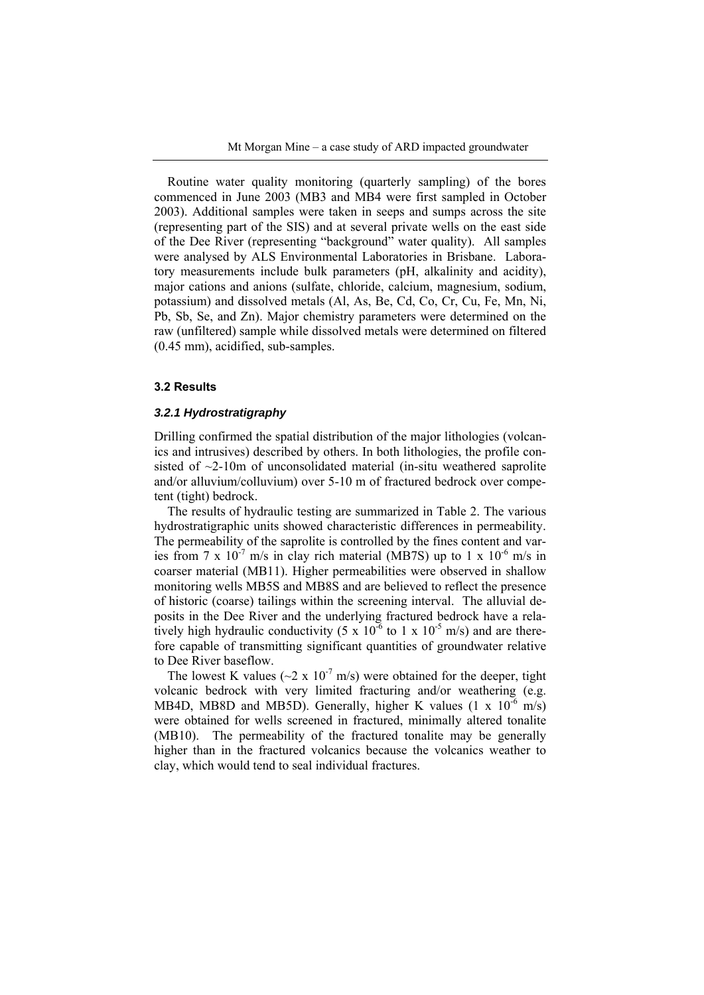Routine water quality monitoring (quarterly sampling) of the bores commenced in June 2003 (MB3 and MB4 were first sampled in October 2003). Additional samples were taken in seeps and sumps across the site (representing part of the SIS) and at several private wells on the east side of the Dee River (representing "background" water quality). All samples were analysed by ALS Environmental Laboratories in Brisbane. Laboratory measurements include bulk parameters (pH, alkalinity and acidity), major cations and anions (sulfate, chloride, calcium, magnesium, sodium, potassium) and dissolved metals (Al, As, Be, Cd, Co, Cr, Cu, Fe, Mn, Ni, Pb, Sb, Se, and Zn). Major chemistry parameters were determined on the raw (unfiltered) sample while dissolved metals were determined on filtered (0.45 mm), acidified, sub-samples.

#### **3.2 Results**

### *3.2.1 Hydrostratigraphy*

Drilling confirmed the spatial distribution of the major lithologies (volcanics and intrusives) described by others. In both lithologies, the profile consisted of  $\sim$ 2-10m of unconsolidated material (in-situ weathered saprolite and/or alluvium/colluvium) over 5-10 m of fractured bedrock over competent (tight) bedrock.

The results of hydraulic testing are summarized in Table 2. The various hydrostratigraphic units showed characteristic differences in permeability. The permeability of the saprolite is controlled by the fines content and varies from 7 x  $10^{-7}$  m/s in clay rich material (MB7S) up to 1 x  $10^{-6}$  m/s in coarser material (MB11). Higher permeabilities were observed in shallow monitoring wells MB5S and MB8S and are believed to reflect the presence of historic (coarse) tailings within the screening interval. The alluvial deposits in the Dee River and the underlying fractured bedrock have a relatively high hydraulic conductivity  $(5 \times 10^{-6} \text{ to } 1 \times 10^{-5} \text{ m/s})$  and are therefore capable of transmitting significant quantities of groundwater relative to Dee River baseflow.

The lowest K values ( $\sim$ 2 x 10<sup>-7</sup> m/s) were obtained for the deeper, tight volcanic bedrock with very limited fracturing and/or weathering (e.g. MB4D, MB8D and MB5D). Generally, higher K values  $(1 \times 10^{-6} \text{ m/s})$ were obtained for wells screened in fractured, minimally altered tonalite (MB10). The permeability of the fractured tonalite may be generally higher than in the fractured volcanics because the volcanics weather to clay, which would tend to seal individual fractures.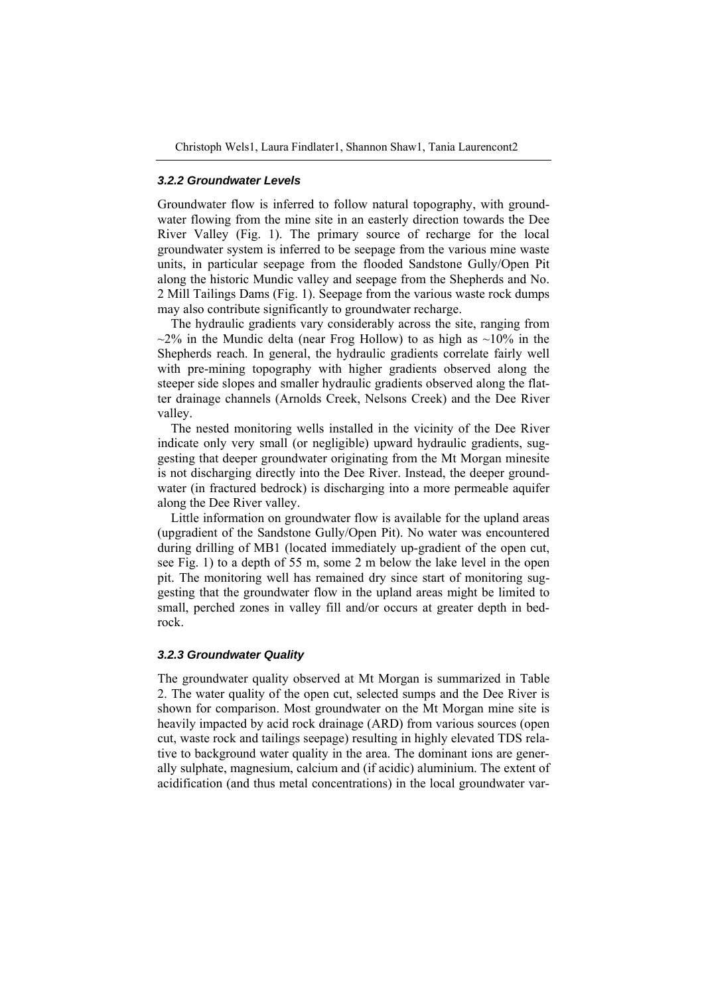#### *3.2.2 Groundwater Levels*

Groundwater flow is inferred to follow natural topography, with groundwater flowing from the mine site in an easterly direction towards the Dee River Valley (Fig. 1). The primary source of recharge for the local groundwater system is inferred to be seepage from the various mine waste units, in particular seepage from the flooded Sandstone Gully/Open Pit along the historic Mundic valley and seepage from the Shepherds and No. 2 Mill Tailings Dams (Fig. 1). Seepage from the various waste rock dumps may also contribute significantly to groundwater recharge.

The hydraulic gradients vary considerably across the site, ranging from  $\sim$ 2% in the Mundic delta (near Frog Hollow) to as high as  $\sim$ 10% in the Shepherds reach. In general, the hydraulic gradients correlate fairly well with pre-mining topography with higher gradients observed along the steeper side slopes and smaller hydraulic gradients observed along the flatter drainage channels (Arnolds Creek, Nelsons Creek) and the Dee River valley.

The nested monitoring wells installed in the vicinity of the Dee River indicate only very small (or negligible) upward hydraulic gradients, suggesting that deeper groundwater originating from the Mt Morgan minesite is not discharging directly into the Dee River. Instead, the deeper groundwater (in fractured bedrock) is discharging into a more permeable aquifer along the Dee River valley.

Little information on groundwater flow is available for the upland areas (upgradient of the Sandstone Gully/Open Pit). No water was encountered during drilling of MB1 (located immediately up-gradient of the open cut, see Fig. 1) to a depth of 55 m, some 2 m below the lake level in the open pit. The monitoring well has remained dry since start of monitoring suggesting that the groundwater flow in the upland areas might be limited to small, perched zones in valley fill and/or occurs at greater depth in bedrock.

### *3.2.3 Groundwater Quality*

The groundwater quality observed at Mt Morgan is summarized in Table 2. The water quality of the open cut, selected sumps and the Dee River is shown for comparison. Most groundwater on the Mt Morgan mine site is heavily impacted by acid rock drainage (ARD) from various sources (open cut, waste rock and tailings seepage) resulting in highly elevated TDS relative to background water quality in the area. The dominant ions are generally sulphate, magnesium, calcium and (if acidic) aluminium. The extent of acidification (and thus metal concentrations) in the local groundwater var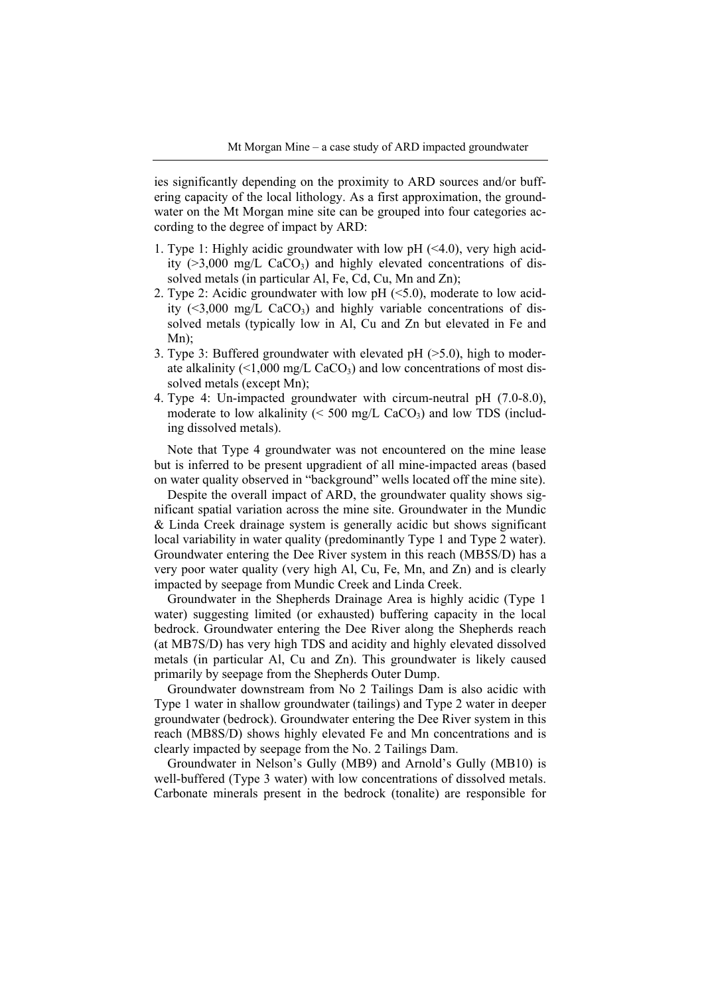ies significantly depending on the proximity to ARD sources and/or buffering capacity of the local lithology. As a first approximation, the groundwater on the Mt Morgan mine site can be grouped into four categories according to the degree of impact by ARD:

- 1. Type 1: Highly acidic groundwater with low pH (<4.0), very high acidity  $(>3,000 \text{ mg/L } CaCO<sub>3</sub>)$  and highly elevated concentrations of dissolved metals (in particular Al, Fe, Cd, Cu, Mn and Zn);
- 2. Type 2: Acidic groundwater with low pH (<5.0), moderate to low acidity  $(\leq 3.000 \text{ mg/L } CaCO_3)$  and highly variable concentrations of dissolved metals (typically low in Al, Cu and Zn but elevated in Fe and Mn);
- 3. Type 3: Buffered groundwater with elevated pH (>5.0), high to moderate alkalinity  $\left( \langle 1,000 \rangle \right)$  mg/L CaCO<sub>3</sub>) and low concentrations of most dissolved metals (except Mn);
- 4. Type 4: Un-impacted groundwater with circum-neutral pH (7.0-8.0), moderate to low alkalinity ( $\leq 500$  mg/L CaCO<sub>3</sub>) and low TDS (including dissolved metals).

Note that Type 4 groundwater was not encountered on the mine lease but is inferred to be present upgradient of all mine-impacted areas (based on water quality observed in "background" wells located off the mine site).

Despite the overall impact of ARD, the groundwater quality shows significant spatial variation across the mine site. Groundwater in the Mundic & Linda Creek drainage system is generally acidic but shows significant local variability in water quality (predominantly Type 1 and Type 2 water). Groundwater entering the Dee River system in this reach (MB5S/D) has a very poor water quality (very high Al, Cu, Fe, Mn, and Zn) and is clearly impacted by seepage from Mundic Creek and Linda Creek.

Groundwater in the Shepherds Drainage Area is highly acidic (Type 1 water) suggesting limited (or exhausted) buffering capacity in the local bedrock. Groundwater entering the Dee River along the Shepherds reach (at MB7S/D) has very high TDS and acidity and highly elevated dissolved metals (in particular Al, Cu and Zn). This groundwater is likely caused primarily by seepage from the Shepherds Outer Dump.

Groundwater downstream from No 2 Tailings Dam is also acidic with Type 1 water in shallow groundwater (tailings) and Type 2 water in deeper groundwater (bedrock). Groundwater entering the Dee River system in this reach (MB8S/D) shows highly elevated Fe and Mn concentrations and is clearly impacted by seepage from the No. 2 Tailings Dam.

Groundwater in Nelson's Gully (MB9) and Arnold's Gully (MB10) is well-buffered (Type 3 water) with low concentrations of dissolved metals. Carbonate minerals present in the bedrock (tonalite) are responsible for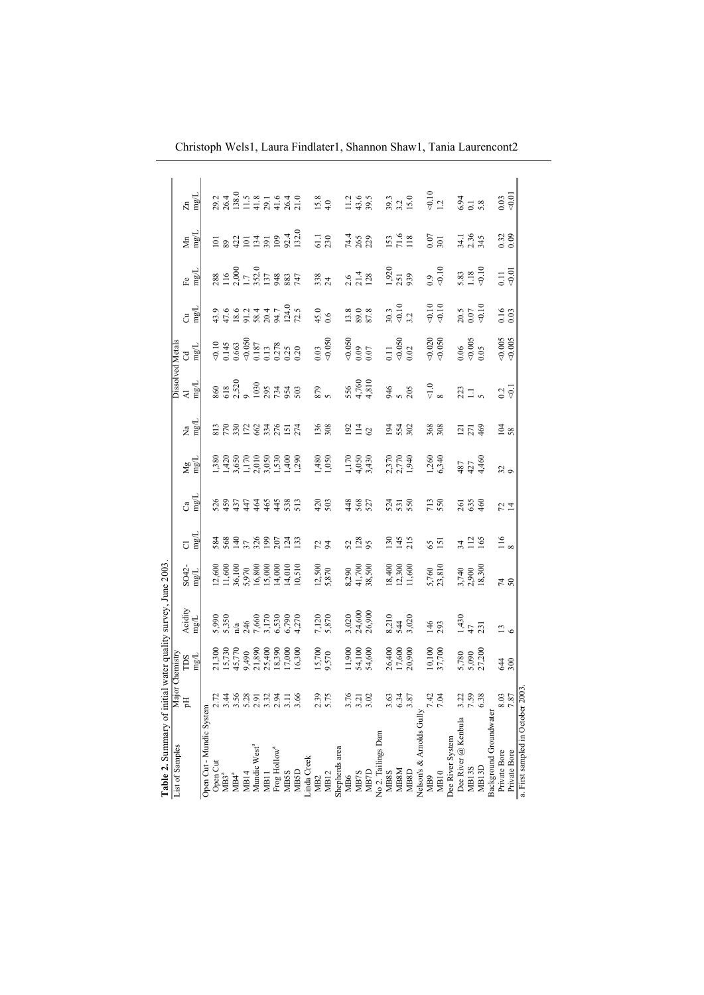| Table 2. Summary of initial water quality survey, June 2003. |                             |                                                                             |                                                             |                                                                    |                   |                                                          |                                                        |                                           |                                        |                                                                          |                                                                   |                                                                                                                                                                                                                                                                                                                 |                                                                                                                                                                                                                                                                                                                                                                                                                             |                                                                                                            |
|--------------------------------------------------------------|-----------------------------|-----------------------------------------------------------------------------|-------------------------------------------------------------|--------------------------------------------------------------------|-------------------|----------------------------------------------------------|--------------------------------------------------------|-------------------------------------------|----------------------------------------|--------------------------------------------------------------------------|-------------------------------------------------------------------|-----------------------------------------------------------------------------------------------------------------------------------------------------------------------------------------------------------------------------------------------------------------------------------------------------------------|-----------------------------------------------------------------------------------------------------------------------------------------------------------------------------------------------------------------------------------------------------------------------------------------------------------------------------------------------------------------------------------------------------------------------------|------------------------------------------------------------------------------------------------------------|
| List of Samples                                              |                             |                                                                             |                                                             |                                                                    |                   |                                                          |                                                        |                                           | <b>Dissolved Metals</b>                |                                                                          |                                                                   |                                                                                                                                                                                                                                                                                                                 |                                                                                                                                                                                                                                                                                                                                                                                                                             |                                                                                                            |
|                                                              |                             | Major Chemistry<br>pH<br>TDS                                                |                                                             |                                                                    | $\overline{C}$    | å                                                        |                                                        | $\tilde{z}$                               | $\overline{z}$                         |                                                                          |                                                                   | $\mathbf{F}$                                                                                                                                                                                                                                                                                                    | Ы'n                                                                                                                                                                                                                                                                                                                                                                                                                         | $\mathbb{Z}^n$                                                                                             |
|                                                              |                             | <b>Agm</b>                                                                  | $\frac{\mbox{Acidity}}{\mbox{mg/L}}$                        | $S$ O42-<br>mg/L                                                   | mg/L              | $\underline{\mathbf{n}\mathbf{g}}\underline{\mathbf{L}}$ | $\frac{\text{Wg}}{\text{m}}$                           | mg/L                                      | mgL                                    | $\frac{1}{2}$                                                            | ಕ ಶ್ವ                                                             | mg/L                                                                                                                                                                                                                                                                                                            | mg/L                                                                                                                                                                                                                                                                                                                                                                                                                        | mg/L                                                                                                       |
| Open Cut - Mundic System                                     |                             |                                                                             |                                                             |                                                                    |                   |                                                          |                                                        |                                           |                                        |                                                                          |                                                                   |                                                                                                                                                                                                                                                                                                                 |                                                                                                                                                                                                                                                                                                                                                                                                                             |                                                                                                            |
| Open Cut                                                     |                             |                                                                             |                                                             |                                                                    |                   |                                                          |                                                        |                                           |                                        |                                                                          |                                                                   |                                                                                                                                                                                                                                                                                                                 |                                                                                                                                                                                                                                                                                                                                                                                                                             |                                                                                                            |
| MB3ª                                                         |                             |                                                                             |                                                             |                                                                    |                   |                                                          |                                                        |                                           |                                        |                                                                          |                                                                   |                                                                                                                                                                                                                                                                                                                 |                                                                                                                                                                                                                                                                                                                                                                                                                             |                                                                                                            |
| $MB4^a$                                                      |                             |                                                                             |                                                             |                                                                    |                   |                                                          |                                                        |                                           |                                        |                                                                          |                                                                   |                                                                                                                                                                                                                                                                                                                 |                                                                                                                                                                                                                                                                                                                                                                                                                             |                                                                                                            |
| MB14                                                         |                             |                                                                             |                                                             |                                                                    |                   |                                                          |                                                        |                                           |                                        |                                                                          |                                                                   |                                                                                                                                                                                                                                                                                                                 |                                                                                                                                                                                                                                                                                                                                                                                                                             |                                                                                                            |
| Mundic West <sup>3</sup>                                     | 7.458777776                 | 21,300<br>15,730<br>15,770<br>45,770<br>9,300<br>16,300<br>17,300<br>16,300 | 5,990<br>5,350<br>14 4600<br>17,500 6,790<br>4,270<br>4,270 | 12,600<br>11,600<br>16,800<br>16,800<br>14,010<br>14,010<br>14,010 | 389582535         |                                                          | 1,380<br>1,420<br>1,170,050<br>1,400<br>1,400<br>1,400 | 25822727                                  | 86<br>6370305344363                    | $\frac{0.10}{0.145}$<br>0.145<br>0.663<br>0.037<br>0.278<br>0.20<br>0.20 | 9 9 9 9 1 4 5 6 9<br>4 4 2 9 8 9 9 1 7 4 9<br>4 4 2 9 8 9 9 1 1 2 | $\begin{array}{l} 288 \\ 116 \\ 1.7 \\ 1.32 \\ 1.37 \\ 1.37 \\ 1.37 \\ 2.0 \\ 1.47 \\ 2.0 \\ 1.47 \\ 1.47 \\ 1.47 \\ 1.47 \\ 1.47 \\ 1.47 \\ 1.47 \\ 1.47 \\ 1.47 \\ 1.47 \\ 1.47 \\ 1.47 \\ 1.47 \\ 1.47 \\ 1.47 \\ 1.47 \\ 1.47 \\ 1.47 \\ 1.47 \\ 1.47 \\ 1.47 \\ 1.47 \\ 1.47 \\ 1.47 \\ 1.47 \\ 1.47 \\ 1$ | $\overline{2}$ $\frac{8}{3}$ $\overline{3}$ $\overline{2}$ $\overline{4}$ $\overline{5}$ $\overline{2}$ $\overline{5}$ $\overline{2}$ $\overline{5}$ $\overline{2}$ $\overline{3}$ $\overline{2}$ $\overline{3}$ $\overline{2}$ $\overline{3}$ $\overline{2}$ $\overline{3}$ $\overline{2}$ $\overline{3}$ $\overline{2}$ $\overline{3}$ $\overline{2}$ $\overline{3}$ $\overline{2}$ $\overline{3}$ $\overline{2}$ $\over$ | $29.3$<br>$29.4$<br>$29.5$<br>$19.5$<br>$19.5$<br>$19.5$<br>$19.5$<br>$19.5$<br>$19.5$<br>$19.5$<br>$19.5$ |
|                                                              |                             |                                                                             |                                                             |                                                                    |                   |                                                          |                                                        |                                           |                                        |                                                                          |                                                                   |                                                                                                                                                                                                                                                                                                                 |                                                                                                                                                                                                                                                                                                                                                                                                                             |                                                                                                            |
| MB11<br>Frog Hollow <sup>a</sup>                             |                             |                                                                             |                                                             |                                                                    |                   |                                                          |                                                        |                                           |                                        |                                                                          |                                                                   |                                                                                                                                                                                                                                                                                                                 |                                                                                                                                                                                                                                                                                                                                                                                                                             |                                                                                                            |
| <b>MB5S</b>                                                  |                             |                                                                             |                                                             |                                                                    |                   |                                                          |                                                        |                                           |                                        |                                                                          |                                                                   |                                                                                                                                                                                                                                                                                                                 |                                                                                                                                                                                                                                                                                                                                                                                                                             |                                                                                                            |
| <b>MB5D</b>                                                  |                             |                                                                             |                                                             |                                                                    |                   |                                                          |                                                        |                                           |                                        |                                                                          |                                                                   |                                                                                                                                                                                                                                                                                                                 |                                                                                                                                                                                                                                                                                                                                                                                                                             |                                                                                                            |
| .inda Creek                                                  |                             |                                                                             |                                                             |                                                                    |                   |                                                          |                                                        |                                           |                                        |                                                                          |                                                                   |                                                                                                                                                                                                                                                                                                                 |                                                                                                                                                                                                                                                                                                                                                                                                                             |                                                                                                            |
| MB <sub>2</sub>                                              |                             |                                                                             |                                                             |                                                                    |                   |                                                          |                                                        |                                           |                                        |                                                                          |                                                                   |                                                                                                                                                                                                                                                                                                                 |                                                                                                                                                                                                                                                                                                                                                                                                                             |                                                                                                            |
| MB <sub>12</sub>                                             | 2.39                        | 15,700<br>9,570                                                             | $7,120$<br>5,870                                            | 12,500<br>5,870                                                    | 72                | $\frac{420}{503}$                                        | $1,480$<br>1,050                                       | 136                                       | 879                                    | $0.03$<br>$0.050$                                                        | $^{45.0}_{0.6}$                                                   | 338                                                                                                                                                                                                                                                                                                             | 61.1<br>230                                                                                                                                                                                                                                                                                                                                                                                                                 | $15.8$<br>4.0                                                                                              |
| Shepherds area                                               |                             |                                                                             |                                                             |                                                                    |                   |                                                          |                                                        |                                           |                                        |                                                                          |                                                                   |                                                                                                                                                                                                                                                                                                                 |                                                                                                                                                                                                                                                                                                                                                                                                                             |                                                                                                            |
| MB6                                                          | 3.76<br>3.21                |                                                                             |                                                             |                                                                    | $\frac{52}{128}$  | 448<br>568<br>527                                        |                                                        | $\frac{2}{11}$ $\frac{4}{11}$             |                                        |                                                                          | $\begin{array}{c} 13.8 \\ 89.0 \\ 87.8 \end{array}$               | $2.6$<br>$21.4$<br>$128$                                                                                                                                                                                                                                                                                        |                                                                                                                                                                                                                                                                                                                                                                                                                             |                                                                                                            |
| MB7S                                                         |                             |                                                                             |                                                             |                                                                    |                   |                                                          |                                                        |                                           |                                        |                                                                          |                                                                   |                                                                                                                                                                                                                                                                                                                 |                                                                                                                                                                                                                                                                                                                                                                                                                             |                                                                                                            |
| <b>MB7D</b>                                                  |                             | 11,900<br>54,100<br>54,600                                                  | 3,020<br>24,600<br>26,900                                   | 8,290<br>41,700<br>38,500                                          |                   |                                                          | $1,170$<br>$4,050$<br>$3,430$                          |                                           | 556<br>4,760<br>4,810                  | $\frac{0.050}{0.09}$                                                     |                                                                   |                                                                                                                                                                                                                                                                                                                 | 74.4<br>265<br>229                                                                                                                                                                                                                                                                                                                                                                                                          | $11.2$<br>$43.6$<br>$39.5$                                                                                 |
| No 2. Tailings Dam                                           |                             |                                                                             |                                                             |                                                                    |                   |                                                          |                                                        |                                           |                                        |                                                                          |                                                                   |                                                                                                                                                                                                                                                                                                                 |                                                                                                                                                                                                                                                                                                                                                                                                                             |                                                                                                            |
| <b>MB8S</b>                                                  |                             |                                                                             |                                                             |                                                                    |                   |                                                          |                                                        |                                           |                                        |                                                                          |                                                                   |                                                                                                                                                                                                                                                                                                                 |                                                                                                                                                                                                                                                                                                                                                                                                                             |                                                                                                            |
| MB <sub>8</sub> M                                            | 3.53<br>6.34<br>3.87        | 26,400<br>17,600<br>20,900                                                  | 8,210<br>544<br>3,020                                       | 18,400<br>12,300<br>11,600                                         | $\frac{136}{145}$ | $\frac{53}{55}$                                          | 2,370<br>2,770<br>1,940                                | <b>324</b><br>224                         | 3.66                                   | $\frac{0.11}{0.050}$                                                     | $30.3$<br>$-0.10$<br>$3.2$                                        | $1,920$<br>$251$<br>$939$                                                                                                                                                                                                                                                                                       | $\frac{153}{71.6}$                                                                                                                                                                                                                                                                                                                                                                                                          | 39.3<br>32<br>15.0                                                                                         |
| <b>MB8D</b>                                                  |                             |                                                                             |                                                             |                                                                    |                   |                                                          |                                                        |                                           |                                        |                                                                          |                                                                   |                                                                                                                                                                                                                                                                                                                 |                                                                                                                                                                                                                                                                                                                                                                                                                             |                                                                                                            |
| Velson's & Arnolds Gully                                     |                             |                                                                             |                                                             |                                                                    |                   |                                                          |                                                        |                                           |                                        |                                                                          |                                                                   |                                                                                                                                                                                                                                                                                                                 |                                                                                                                                                                                                                                                                                                                                                                                                                             |                                                                                                            |
| MB <sub>9</sub>                                              | $\frac{4}{9}$ $\frac{2}{9}$ |                                                                             | 146<br>293                                                  |                                                                    | $\frac{65}{2}$    | 713<br>550                                               |                                                        | 368                                       | $\frac{1}{8}$ .0                       |                                                                          |                                                                   |                                                                                                                                                                                                                                                                                                                 | 0.07                                                                                                                                                                                                                                                                                                                                                                                                                        |                                                                                                            |
| MB10                                                         |                             | 10,100<br>37,700                                                            |                                                             | 5,760<br>23,810                                                    |                   |                                                          | 1,260<br>5,340                                         |                                           |                                        | $-0.020$                                                                 | $\frac{10}{0.10}$                                                 | $0.9$<br>$0.10$                                                                                                                                                                                                                                                                                                 |                                                                                                                                                                                                                                                                                                                                                                                                                             | $\frac{10}{12}$                                                                                            |
| Dee River System                                             |                             |                                                                             |                                                             |                                                                    |                   |                                                          |                                                        |                                           |                                        |                                                                          |                                                                   |                                                                                                                                                                                                                                                                                                                 |                                                                                                                                                                                                                                                                                                                                                                                                                             |                                                                                                            |
| Dee River @ Kenbula                                          |                             |                                                                             |                                                             |                                                                    |                   |                                                          |                                                        |                                           |                                        |                                                                          |                                                                   |                                                                                                                                                                                                                                                                                                                 |                                                                                                                                                                                                                                                                                                                                                                                                                             |                                                                                                            |
| <b>MB13S</b>                                                 | 3.22<br>7.59<br>6.38        |                                                                             | $1,430$<br>47<br>231                                        | 3,740<br>2,900<br>18,300                                           | 31.26             | 589                                                      | $487$<br>$427$<br>$4460$                               | $\frac{1}{2}$ $\frac{1}{2}$ $\frac{6}{9}$ | $223$<br>$\overline{1}$ $\overline{5}$ |                                                                          | $\frac{20.5}{0.07}$                                               | 5.83<br>1.18<br>0.10                                                                                                                                                                                                                                                                                            | 34.1<br>2.36<br>345                                                                                                                                                                                                                                                                                                                                                                                                         |                                                                                                            |
| MB13D                                                        |                             | 5,780<br>5,090<br>27,200                                                    |                                                             |                                                                    |                   |                                                          |                                                        |                                           |                                        | $0.06$<br>$0.005$<br>$0.05$                                              |                                                                   |                                                                                                                                                                                                                                                                                                                 |                                                                                                                                                                                                                                                                                                                                                                                                                             | $6.94$<br>$0.18$                                                                                           |
| Background Groundwater                                       |                             |                                                                             |                                                             |                                                                    |                   |                                                          |                                                        |                                           |                                        |                                                                          |                                                                   |                                                                                                                                                                                                                                                                                                                 |                                                                                                                                                                                                                                                                                                                                                                                                                             |                                                                                                            |
| Private Bore                                                 | 8.03<br>7.87<br>2003.       | 300                                                                         | $\frac{3}{6}$                                               | 740                                                                | $\frac{116}{8}$   | $\frac{2}{1}$                                            | $\frac{32}{9}$                                         | $\frac{104}{58}$                          | $\frac{2}{9}$                          | $-0.005$                                                                 | $0.16$<br>0.03                                                    | $\frac{11}{200}$                                                                                                                                                                                                                                                                                                | $0.32$<br>$0.09$                                                                                                                                                                                                                                                                                                                                                                                                            | 0.03                                                                                                       |
| Private Bore                                                 |                             |                                                                             |                                                             |                                                                    |                   |                                                          |                                                        |                                           |                                        |                                                                          |                                                                   |                                                                                                                                                                                                                                                                                                                 |                                                                                                                                                                                                                                                                                                                                                                                                                             |                                                                                                            |
| a. First sampled in October                                  |                             |                                                                             |                                                             |                                                                    |                   |                                                          |                                                        |                                           |                                        |                                                                          |                                                                   |                                                                                                                                                                                                                                                                                                                 |                                                                                                                                                                                                                                                                                                                                                                                                                             |                                                                                                            |

Christoph Wels1, Laura Findlater1, Shannon Shaw1, Tania Laurencont2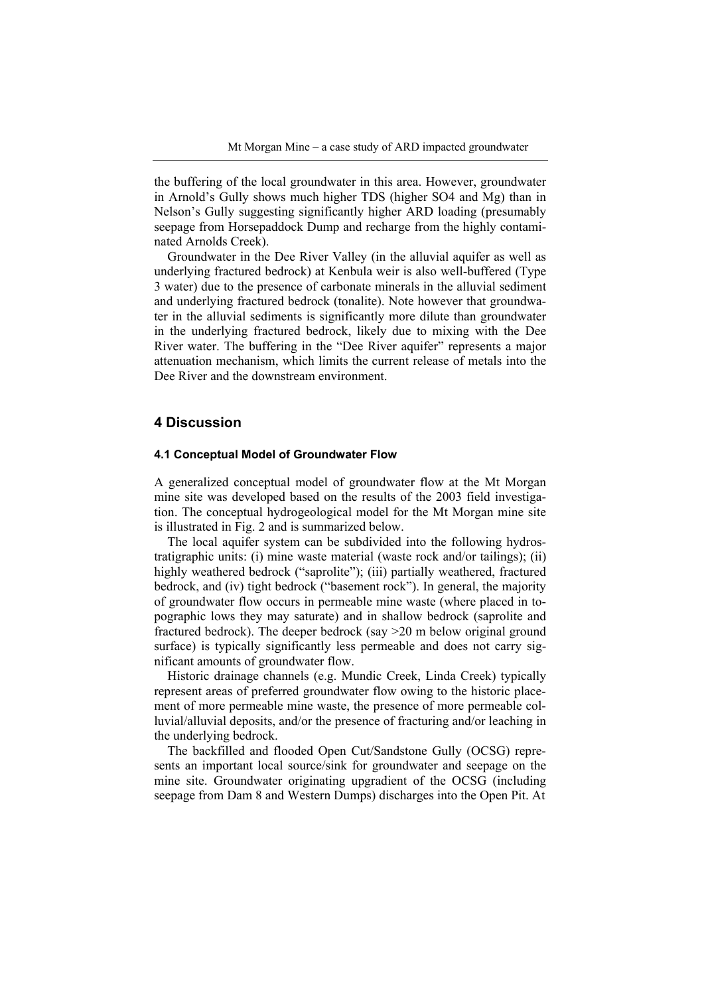the buffering of the local groundwater in this area. However, groundwater in Arnold's Gully shows much higher TDS (higher SO4 and Mg) than in Nelson's Gully suggesting significantly higher ARD loading (presumably seepage from Horsepaddock Dump and recharge from the highly contaminated Arnolds Creek).

Groundwater in the Dee River Valley (in the alluvial aquifer as well as underlying fractured bedrock) at Kenbula weir is also well-buffered (Type 3 water) due to the presence of carbonate minerals in the alluvial sediment and underlying fractured bedrock (tonalite). Note however that groundwater in the alluvial sediments is significantly more dilute than groundwater in the underlying fractured bedrock, likely due to mixing with the Dee River water. The buffering in the "Dee River aquifer" represents a major attenuation mechanism, which limits the current release of metals into the Dee River and the downstream environment.

# **4 Discussion**

#### **4.1 Conceptual Model of Groundwater Flow**

A generalized conceptual model of groundwater flow at the Mt Morgan mine site was developed based on the results of the 2003 field investigation. The conceptual hydrogeological model for the Mt Morgan mine site is illustrated in Fig. 2 and is summarized below.

The local aquifer system can be subdivided into the following hydrostratigraphic units: (i) mine waste material (waste rock and/or tailings); (ii) highly weathered bedrock ("saprolite"); (iii) partially weathered, fractured bedrock, and (iv) tight bedrock ("basement rock"). In general, the majority of groundwater flow occurs in permeable mine waste (where placed in topographic lows they may saturate) and in shallow bedrock (saprolite and fractured bedrock). The deeper bedrock (say >20 m below original ground surface) is typically significantly less permeable and does not carry significant amounts of groundwater flow.

Historic drainage channels (e.g. Mundic Creek, Linda Creek) typically represent areas of preferred groundwater flow owing to the historic placement of more permeable mine waste, the presence of more permeable colluvial/alluvial deposits, and/or the presence of fracturing and/or leaching in the underlying bedrock.

The backfilled and flooded Open Cut/Sandstone Gully (OCSG) represents an important local source/sink for groundwater and seepage on the mine site. Groundwater originating upgradient of the OCSG (including seepage from Dam 8 and Western Dumps) discharges into the Open Pit. At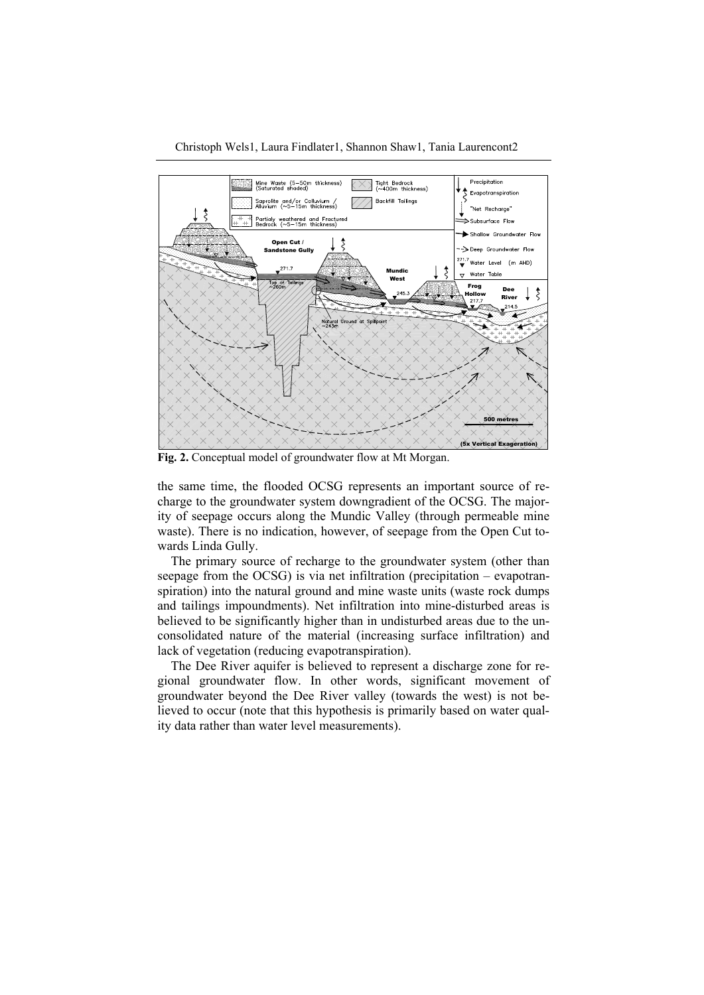Christoph Wels1, Laura Findlater1, Shannon Shaw1, Tania Laurencont2



**Fig. 2.** Conceptual model of groundwater flow at Mt Morgan.

the same time, the flooded OCSG represents an important source of recharge to the groundwater system downgradient of the OCSG. The majority of seepage occurs along the Mundic Valley (through permeable mine waste). There is no indication, however, of seepage from the Open Cut towards Linda Gully.

The primary source of recharge to the groundwater system (other than seepage from the OCSG) is via net infiltration (precipitation – evapotranspiration) into the natural ground and mine waste units (waste rock dumps and tailings impoundments). Net infiltration into mine-disturbed areas is believed to be significantly higher than in undisturbed areas due to the unconsolidated nature of the material (increasing surface infiltration) and lack of vegetation (reducing evapotranspiration).

The Dee River aquifer is believed to represent a discharge zone for regional groundwater flow. In other words, significant movement of groundwater beyond the Dee River valley (towards the west) is not believed to occur (note that this hypothesis is primarily based on water quality data rather than water level measurements).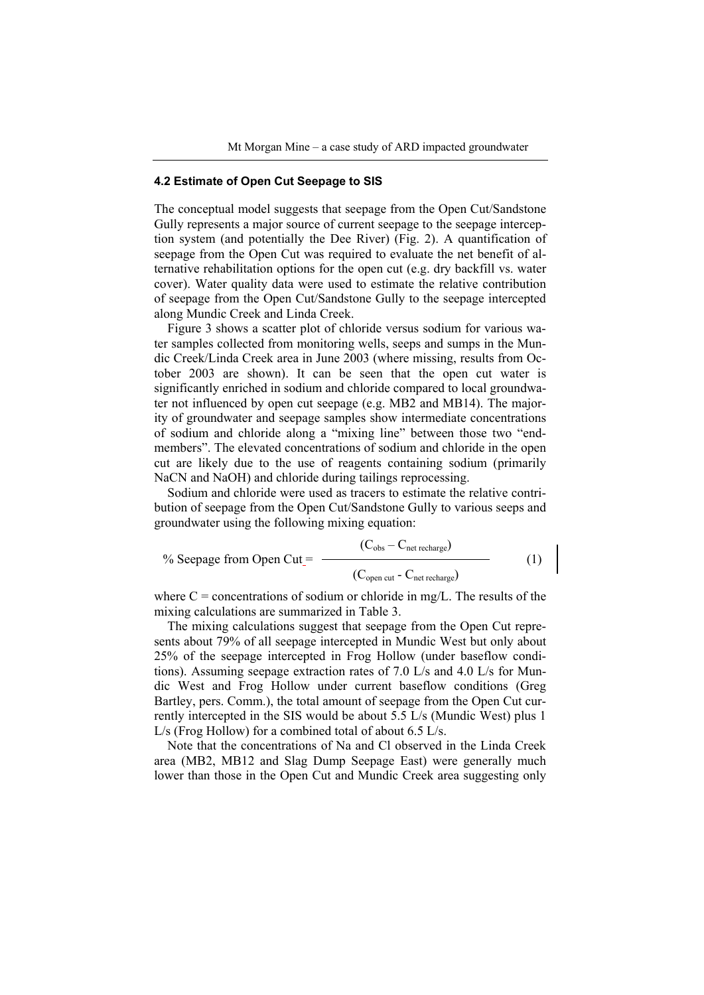#### **4.2 Estimate of Open Cut Seepage to SIS**

The conceptual model suggests that seepage from the Open Cut/Sandstone Gully represents a major source of current seepage to the seepage interception system (and potentially the Dee River) (Fig. 2). A quantification of seepage from the Open Cut was required to evaluate the net benefit of alternative rehabilitation options for the open cut (e.g. dry backfill vs. water cover). Water quality data were used to estimate the relative contribution of seepage from the Open Cut/Sandstone Gully to the seepage intercepted along Mundic Creek and Linda Creek.

Figure 3 shows a scatter plot of chloride versus sodium for various water samples collected from monitoring wells, seeps and sumps in the Mundic Creek/Linda Creek area in June 2003 (where missing, results from October 2003 are shown). It can be seen that the open cut water is significantly enriched in sodium and chloride compared to local groundwater not influenced by open cut seepage (e.g. MB2 and MB14). The majority of groundwater and seepage samples show intermediate concentrations of sodium and chloride along a "mixing line" between those two "endmembers". The elevated concentrations of sodium and chloride in the open cut are likely due to the use of reagents containing sodium (primarily NaCN and NaOH) and chloride during tailings reprocessing.

Sodium and chloride were used as tracers to estimate the relative contribution of seepage from the Open Cut/Sandstone Gully to various seeps and groundwater using the following mixing equation:

$$
\%
$$
 Seepage from Open Cut=

$$
\frac{(C_{obs} - C_{net \text{ rectangle}})}{(C_{open \text{ cut}} - C_{net \text{ rectangle}})}
$$
(1)

where  $C =$  concentrations of sodium or chloride in mg/L. The results of the mixing calculations are summarized in Table 3.

The mixing calculations suggest that seepage from the Open Cut represents about 79% of all seepage intercepted in Mundic West but only about 25% of the seepage intercepted in Frog Hollow (under baseflow conditions). Assuming seepage extraction rates of 7.0 L/s and 4.0 L/s for Mundic West and Frog Hollow under current baseflow conditions (Greg Bartley, pers. Comm.), the total amount of seepage from the Open Cut currently intercepted in the SIS would be about 5.5 L/s (Mundic West) plus 1 L/s (Frog Hollow) for a combined total of about 6.5 L/s.

Note that the concentrations of Na and Cl observed in the Linda Creek area (MB2, MB12 and Slag Dump Seepage East) were generally much lower than those in the Open Cut and Mundic Creek area suggesting only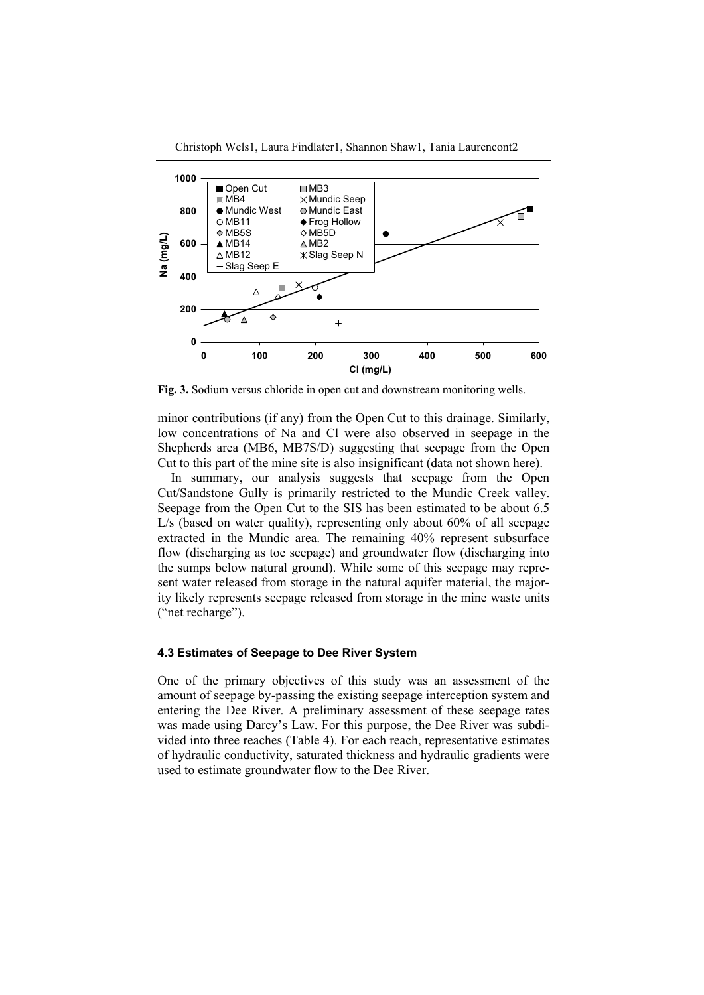Christoph Wels1, Laura Findlater1, Shannon Shaw1, Tania Laurencont2



**Fig. 3.** Sodium versus chloride in open cut and downstream monitoring wells.

minor contributions (if any) from the Open Cut to this drainage. Similarly, low concentrations of Na and Cl were also observed in seepage in the Shepherds area (MB6, MB7S/D) suggesting that seepage from the Open Cut to this part of the mine site is also insignificant (data not shown here).

In summary, our analysis suggests that seepage from the Open Cut/Sandstone Gully is primarily restricted to the Mundic Creek valley. Seepage from the Open Cut to the SIS has been estimated to be about 6.5 L/s (based on water quality), representing only about 60% of all seepage extracted in the Mundic area. The remaining 40% represent subsurface flow (discharging as toe seepage) and groundwater flow (discharging into the sumps below natural ground). While some of this seepage may represent water released from storage in the natural aquifer material, the majority likely represents seepage released from storage in the mine waste units ("net recharge").

### **4.3 Estimates of Seepage to Dee River System**

One of the primary objectives of this study was an assessment of the amount of seepage by-passing the existing seepage interception system and entering the Dee River. A preliminary assessment of these seepage rates was made using Darcy's Law. For this purpose, the Dee River was subdivided into three reaches (Table 4). For each reach, representative estimates of hydraulic conductivity, saturated thickness and hydraulic gradients were used to estimate groundwater flow to the Dee River.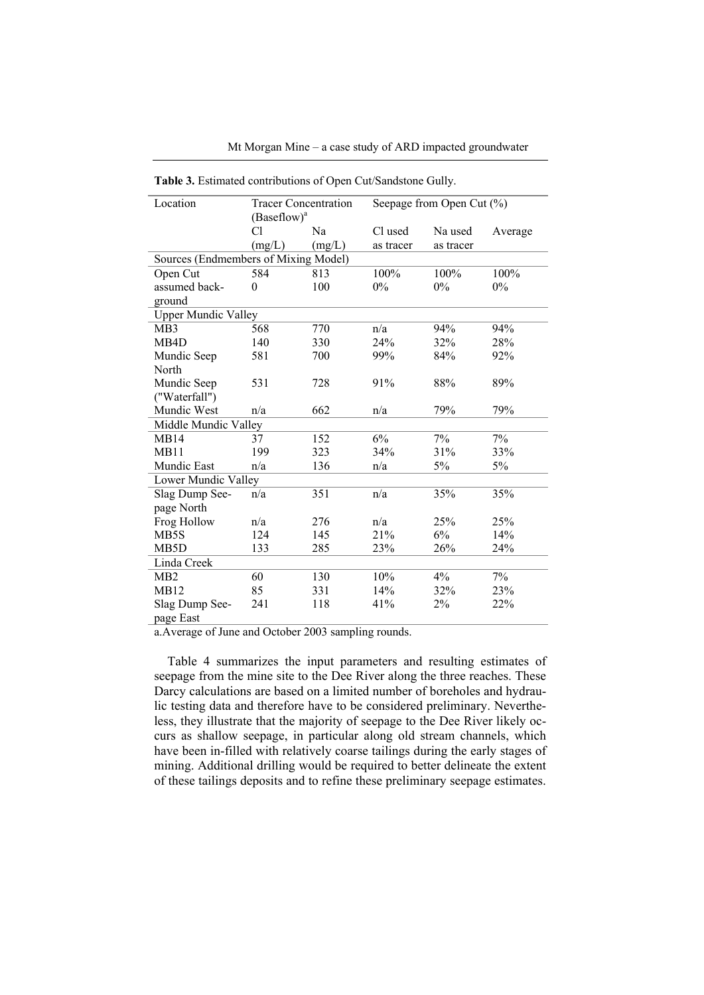Mt Morgan Mine – a case study of ARD impacted groundwater

| Location                             |                | <b>Tracer Concentration</b> |           | Seepage from Open Cut (%) |         |
|--------------------------------------|----------------|-----------------------------|-----------|---------------------------|---------|
|                                      | $(Baseflow)^a$ |                             |           |                           |         |
|                                      | Сl             | Na                          | Cl used   | Na used                   | Average |
|                                      | (mg/L)         | (mg/L)                      | as tracer | as tracer                 |         |
| Sources (Endmembers of Mixing Model) |                |                             |           |                           |         |
| Open Cut                             | 584            | 813                         | 100%      | 100%                      | 100%    |
| assumed back-                        | $\theta$       | 100                         | 0%        | $0\%$                     | 0%      |
| ground                               |                |                             |           |                           |         |
| <b>Upper Mundic Valley</b>           |                |                             |           |                           |         |
| MB <sub>3</sub>                      | 568            | 770                         | n/a       | 94%                       | 94%     |
| MB4D                                 | 140            | 330                         | 24%       | 32%                       | 28%     |
| Mundic Seep                          | 581            | 700                         | 99%       | 84%                       | 92%     |
| North                                |                |                             |           |                           |         |
| Mundic Seep                          | 531            | 728                         | 91%       | 88%                       | 89%     |
| ("Waterfall")                        |                |                             |           |                           |         |
| Mundic West                          | n/a            | 662                         | n/a       | 79%                       | 79%     |
| Middle Mundic Valley                 |                |                             |           |                           |         |
| MB14                                 | 37             | 152                         | 6%        | 7%                        | 7%      |
| MB11                                 | 199            | 323                         | 34%       | 31%                       | 33%     |
| Mundic East                          | n/a            | 136                         | n/a       | 5%                        | 5%      |
| Lower Mundic Valley                  |                |                             |           |                           |         |
| Slag Dump See-                       | n/a            | 351                         | n/a       | 35%                       | 35%     |
| page North                           |                |                             |           |                           |         |
| Frog Hollow                          | n/a            | 276                         | n/a       | 25%                       | 25%     |
| MB5S                                 | 124            | 145                         | 21%       | 6%                        | 14%     |
| MB <sub>5</sub> D                    | 133            | 285                         | 23%       | 26%                       | 24%     |
| Linda Creek                          |                |                             |           |                           |         |
| MB <sub>2</sub>                      | 60             | 130                         | 10%       | 4%                        | 7%      |
| MB12                                 | 85             | 331                         | 14%       | 32%                       | 23%     |
| Slag Dump See-                       | 241            | 118                         | 41%       | 2%                        | 22%     |
| page East                            |                |                             |           |                           |         |

**Table 3.** Estimated contributions of Open Cut/Sandstone Gully.

a.Average of June and October 2003 sampling rounds.

Table 4 summarizes the input parameters and resulting estimates of seepage from the mine site to the Dee River along the three reaches. These Darcy calculations are based on a limited number of boreholes and hydraulic testing data and therefore have to be considered preliminary. Nevertheless, they illustrate that the majority of seepage to the Dee River likely occurs as shallow seepage, in particular along old stream channels, which have been in-filled with relatively coarse tailings during the early stages of mining. Additional drilling would be required to better delineate the extent of these tailings deposits and to refine these preliminary seepage estimates.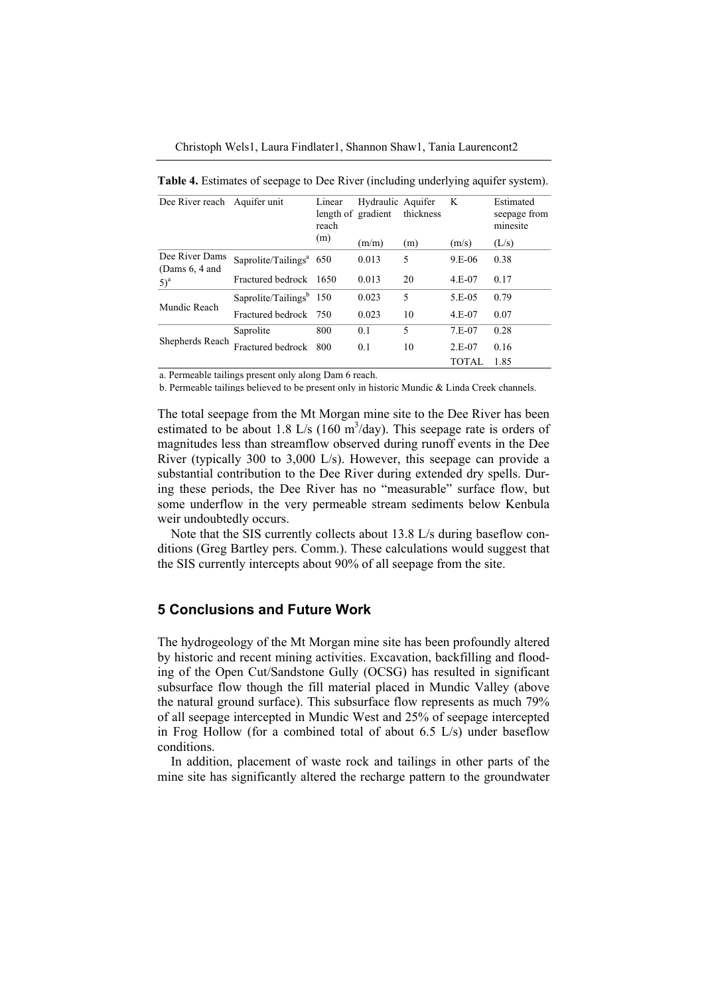Christoph Wels1, Laura Findlater1, Shannon Shaw1, Tania Laurencont2

| Dee River reach Aquifer unit       |                                                  | Linear<br>length of gradient<br>reach | Hydraulic Aquifer | thickness | K        | Estimated<br>seepage from<br>minesite |
|------------------------------------|--------------------------------------------------|---------------------------------------|-------------------|-----------|----------|---------------------------------------|
|                                    |                                                  | (m)                                   | (m/m)             | (m)       | (m/s)    | (L/s)                                 |
| Dee River Dams<br>(Dams $6, 4$ and | Saprolite/Tailings <sup><math>4</math></sup> 650 |                                       | 0.013             | 5         | $9.E-06$ | 0.38                                  |
| $5)^a$                             | Fractured bedrock 1650                           |                                       | 0.013             | 20        | $4.E-07$ | 0.17                                  |
| Mundic Reach                       | Saprolite/Tailings $b$ 150                       |                                       | 0.023             | 5         | 5.E-05   | 0.79                                  |
|                                    | Fractured bedrock 750                            |                                       | 0.023             | 10        | 4.E-07   | 0.07                                  |
| Shepherds Reach                    | Saprolite                                        | 800                                   | 0.1               | 5         | $7.E-07$ | 0.28                                  |
|                                    | Fractured bedrock                                | 800                                   | 0.1               | 10        | $2.E-07$ | 0.16                                  |
|                                    |                                                  |                                       |                   |           | TOTAL    | 1.85                                  |

**Table 4.** Estimates of seepage to Dee River (including underlying aquifer system).

a. Permeable tailings present only along Dam 6 reach.<br>b. Permeable tailings believed to be present only in historic Mundic & Linda Creek channels. b. Permeable tailings believed to be present only in historic Mundic & Linda Creek channels.

The total seepage from the Mt Morgan mine site to the Dee River has been estimated to be about 1.8 L/s (160 m<sup>3</sup>/day). This seepage rate is orders of magnitudes less than streamflow observed during runoff events in the Dee River (typically 300 to 3,000 L/s). However, this seepage can provide a substantial contribution to the Dee River during extended dry spells. During these periods, the Dee River has no "measurable" surface flow, but some underflow in the very permeable stream sediments below Kenbula weir undoubtedly occurs.

Note that the SIS currently collects about 13.8 L/s during baseflow conditions (Greg Bartley pers. Comm.). These calculations would suggest that the SIS currently intercepts about 90% of all seepage from the site.

## **5 Conclusions and Future Work**

The hydrogeology of the Mt Morgan mine site has been profoundly altered by historic and recent mining activities. Excavation, backfilling and flooding of the Open Cut/Sandstone Gully (OCSG) has resulted in significant subsurface flow though the fill material placed in Mundic Valley (above the natural ground surface). This subsurface flow represents as much 79% of all seepage intercepted in Mundic West and 25% of seepage intercepted in Frog Hollow (for a combined total of about 6.5 L/s) under baseflow conditions.

In addition, placement of waste rock and tailings in other parts of the mine site has significantly altered the recharge pattern to the groundwater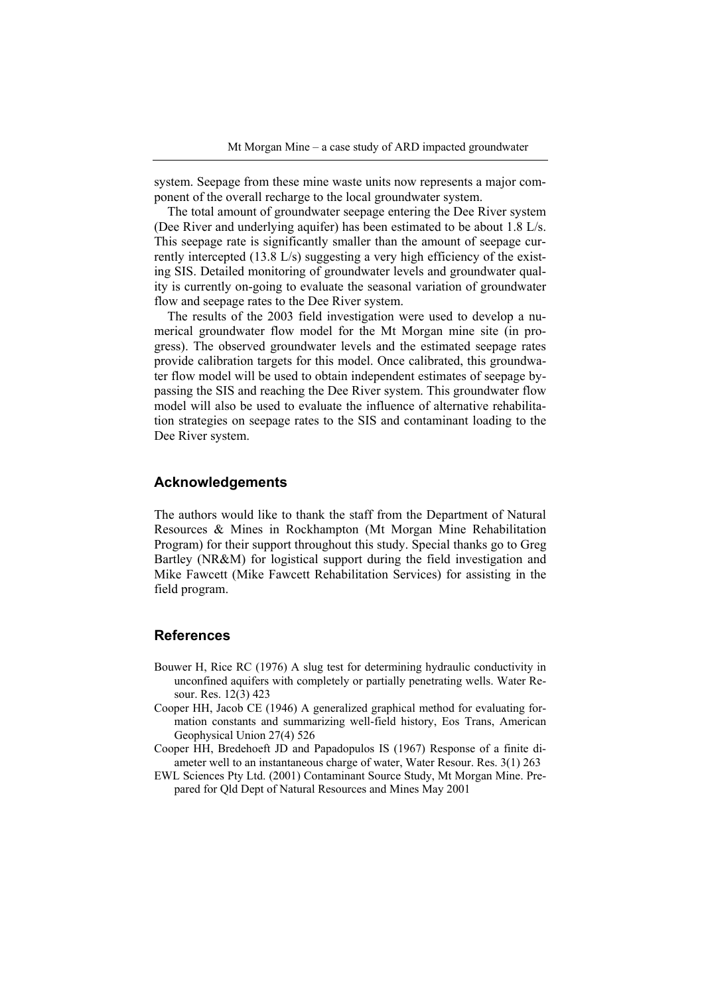system. Seepage from these mine waste units now represents a major component of the overall recharge to the local groundwater system.

The total amount of groundwater seepage entering the Dee River system (Dee River and underlying aquifer) has been estimated to be about 1.8 L/s. This seepage rate is significantly smaller than the amount of seepage currently intercepted (13.8 L/s) suggesting a very high efficiency of the existing SIS. Detailed monitoring of groundwater levels and groundwater quality is currently on-going to evaluate the seasonal variation of groundwater flow and seepage rates to the Dee River system.

The results of the 2003 field investigation were used to develop a numerical groundwater flow model for the Mt Morgan mine site (in progress). The observed groundwater levels and the estimated seepage rates provide calibration targets for this model. Once calibrated, this groundwater flow model will be used to obtain independent estimates of seepage bypassing the SIS and reaching the Dee River system. This groundwater flow model will also be used to evaluate the influence of alternative rehabilitation strategies on seepage rates to the SIS and contaminant loading to the Dee River system.

### **Acknowledgements**

The authors would like to thank the staff from the Department of Natural Resources & Mines in Rockhampton (Mt Morgan Mine Rehabilitation Program) for their support throughout this study. Special thanks go to Greg Bartley (NR&M) for logistical support during the field investigation and Mike Fawcett (Mike Fawcett Rehabilitation Services) for assisting in the field program.

### **References**

- Bouwer H, Rice RC (1976) A slug test for determining hydraulic conductivity in unconfined aquifers with completely or partially penetrating wells. Water Resour. Res. 12(3) 423
- Cooper HH, Jacob CE (1946) A generalized graphical method for evaluating formation constants and summarizing well-field history, Eos Trans, American Geophysical Union 27(4) 526
- Cooper HH, Bredehoeft JD and Papadopulos IS (1967) Response of a finite diameter well to an instantaneous charge of water, Water Resour. Res. 3(1) 263
- EWL Sciences Pty Ltd. (2001) Contaminant Source Study, Mt Morgan Mine. Prepared for Qld Dept of Natural Resources and Mines May 2001